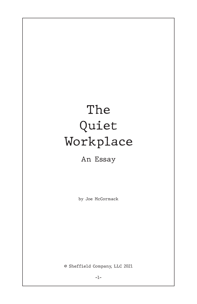## The Quiet Workplace

## An Essay

by Joe McCormack

© Sheffield Company, LLC 2021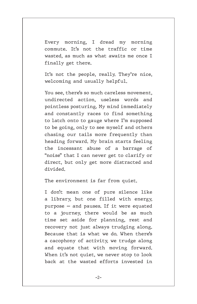Every morning, I dread my morning commute. It's not the traffic or time wasted, as much as what awaits me once I finally get there.

It's not the people, really. They're nice, welcoming and usually helpful.

You see, there's so much careless movement, undirected action, useless words and pointless posturing. My mind immediately and constantly races to find something to latch onto to gauge where I'm supposed to be going, only to see myself and others chasing our tails more frequently than heading forward. My brain starts feeling the incessant abuse of a barrage of "noise" that I can never get to clarify or direct, but only get more distracted and divided.

The environment is far from quiet.

I don't mean one of pure silence like a library, but one filled with energy, purpose — and pauses. If it were equated to a journey, there would be as much time set aside for planning, rest and recovery not just always trudging along. Because that is what we do. When there's a cacophony of activity, we trudge along and equate that with moving forward. When it's not quiet, we never stop to look back at the wasted efforts invested in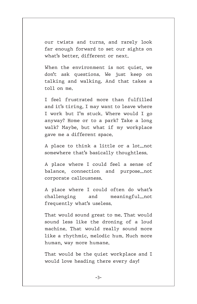our twists and turns, and rarely look far enough forward to set our sights on what's better, different or next.

When the environment is not quiet, we don't ask questions. We just keep on talking and walking. And that takes a toll on me.

I feel frustrated more than fulfilled and it's tiring. I may want to leave where I work but I'm stuck. Where would I go anyway? Home or to a park? Take a long walk? Maybe, but what if my workplace gave me a different space.

A place to think a little or a lot...not somewhere that's basically thoughtless.

A place where I could feel a sense of balance, connection and purpose...not corporate callousness.

A place where I could often do what's challenging and meaningful...not frequently what's useless.

That would sound great to me. That would sound less like the droning of a loud machine. That would really sound more like a rhythmic, melodic hum. Much more human, way more humane.

That would be the quiet workplace and I would love heading there every day!